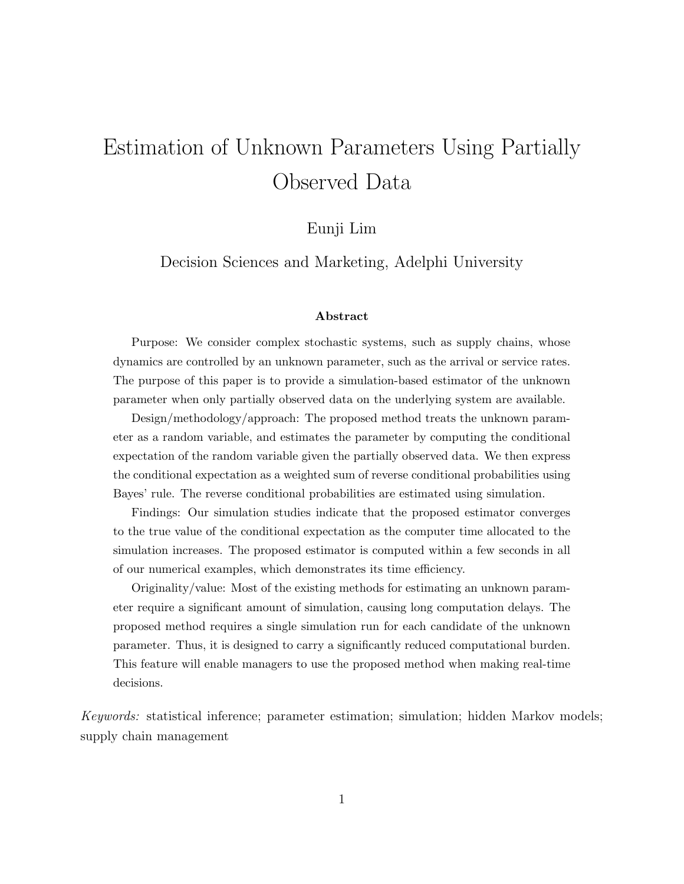# Estimation of Unknown Parameters Using Partially Observed Data

## Eunji Lim

Decision Sciences and Marketing, Adelphi University

#### Abstract

Purpose: We consider complex stochastic systems, such as supply chains, whose dynamics are controlled by an unknown parameter, such as the arrival or service rates. The purpose of this paper is to provide a simulation-based estimator of the unknown parameter when only partially observed data on the underlying system are available.

Design/methodology/approach: The proposed method treats the unknown parameter as a random variable, and estimates the parameter by computing the conditional expectation of the random variable given the partially observed data. We then express the conditional expectation as a weighted sum of reverse conditional probabilities using Bayes' rule. The reverse conditional probabilities are estimated using simulation.

Findings: Our simulation studies indicate that the proposed estimator converges to the true value of the conditional expectation as the computer time allocated to the simulation increases. The proposed estimator is computed within a few seconds in all of our numerical examples, which demonstrates its time efficiency.

Originality/value: Most of the existing methods for estimating an unknown parameter require a significant amount of simulation, causing long computation delays. The proposed method requires a single simulation run for each candidate of the unknown parameter. Thus, it is designed to carry a significantly reduced computational burden. This feature will enable managers to use the proposed method when making real-time decisions.

Keywords: statistical inference; parameter estimation; simulation; hidden Markov models; supply chain management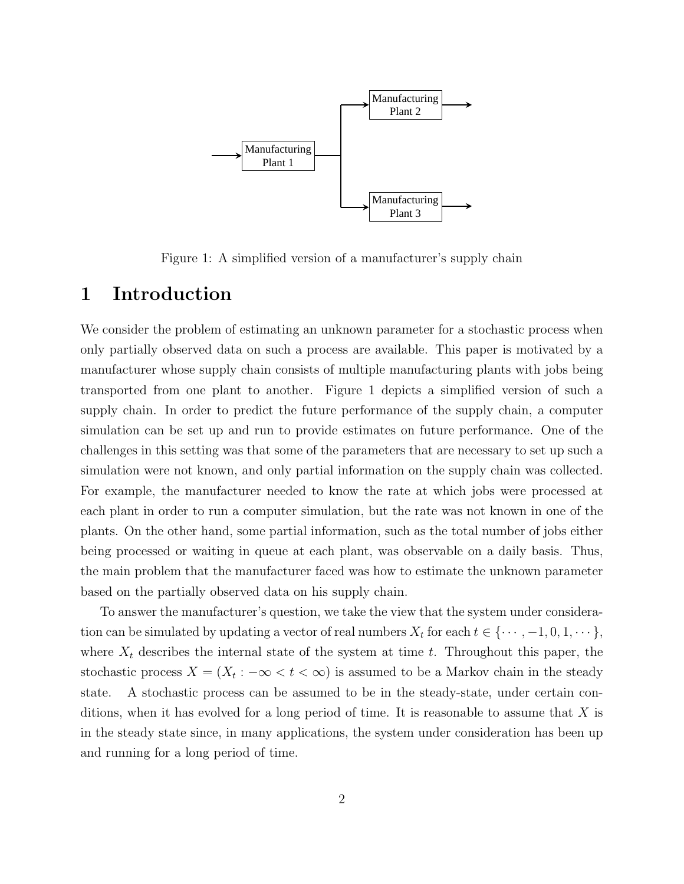

Figure 1: A simplified version of a manufacturer's supply chain

## 1 Introduction

We consider the problem of estimating an unknown parameter for a stochastic process when only partially observed data on such a process are available. This paper is motivated by a manufacturer whose supply chain consists of multiple manufacturing plants with jobs being transported from one plant to another. Figure 1 depicts a simplified version of such a supply chain. In order to predict the future performance of the supply chain, a computer simulation can be set up and run to provide estimates on future performance. One of the challenges in this setting was that some of the parameters that are necessary to set up such a simulation were not known, and only partial information on the supply chain was collected. For example, the manufacturer needed to know the rate at which jobs were processed at each plant in order to run a computer simulation, but the rate was not known in one of the plants. On the other hand, some partial information, such as the total number of jobs either being processed or waiting in queue at each plant, was observable on a daily basis. Thus, the main problem that the manufacturer faced was how to estimate the unknown parameter based on the partially observed data on his supply chain.

To answer the manufacturer's question, we take the view that the system under consideration can be simulated by updating a vector of real numbers  $X_t$  for each  $t \in \{\cdots, -1, 0, 1, \cdots\},\$ where  $X_t$  describes the internal state of the system at time t. Throughout this paper, the stochastic process  $X = (X_t : -\infty < t < \infty)$  is assumed to be a Markov chain in the steady state. A stochastic process can be assumed to be in the steady-state, under certain conditions, when it has evolved for a long period of time. It is reasonable to assume that  $X$  is in the steady state since, in many applications, the system under consideration has been up and running for a long period of time.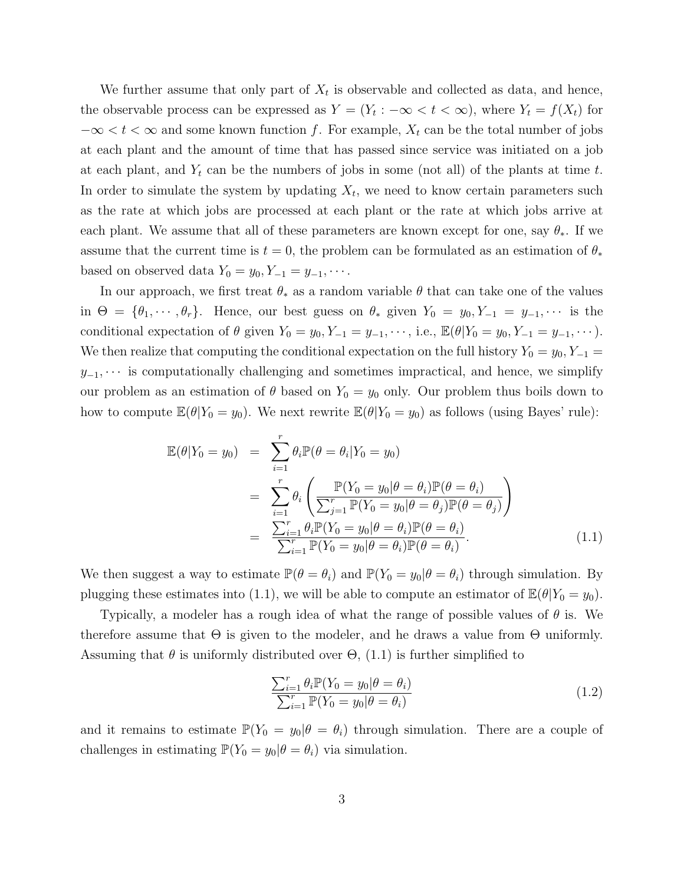We further assume that only part of  $X_t$  is observable and collected as data, and hence, the observable process can be expressed as  $Y = (Y_t : -\infty < t < \infty)$ , where  $Y_t = f(X_t)$  for  $-\infty < t < \infty$  and some known function f. For example,  $X_t$  can be the total number of jobs at each plant and the amount of time that has passed since service was initiated on a job at each plant, and  $Y_t$  can be the numbers of jobs in some (not all) of the plants at time t. In order to simulate the system by updating  $X_t$ , we need to know certain parameters such as the rate at which jobs are processed at each plant or the rate at which jobs arrive at each plant. We assume that all of these parameters are known except for one, say  $\theta_*$ . If we assume that the current time is  $t = 0$ , the problem can be formulated as an estimation of  $\theta_*$ based on observed data  $Y_0 = y_0, Y_{-1} = y_{-1}, \cdots$ .

In our approach, we first treat  $\theta_*$  as a random variable  $\theta$  that can take one of the values in  $\Theta = \{\theta_1, \dots, \theta_r\}$ . Hence, our best guess on  $\theta_*$  given  $Y_0 = y_0, Y_{-1} = y_{-1}, \dots$  is the conditional expectation of  $\theta$  given  $Y_0 = y_0, Y_{-1} = y_{-1}, \dots$ , i.e.,  $\mathbb{E}(\theta|Y_0 = y_0, Y_{-1} = y_{-1}, \dots)$ . We then realize that computing the conditional expectation on the full history  $Y_0 = y_0, Y_{-1} =$  $y_{-1}, \cdots$  is computationally challenging and sometimes impractical, and hence, we simplify our problem as an estimation of  $\theta$  based on  $Y_0 = y_0$  only. Our problem thus boils down to how to compute  $\mathbb{E}(\theta|Y_0 = y_0)$ . We next rewrite  $\mathbb{E}(\theta|Y_0 = y_0)$  as follows (using Bayes' rule):

$$
\mathbb{E}(\theta|Y_0 = y_0) = \sum_{i=1}^r \theta_i \mathbb{P}(\theta = \theta_i|Y_0 = y_0)
$$
  
\n
$$
= \sum_{i=1}^r \theta_i \left( \frac{\mathbb{P}(Y_0 = y_0|\theta = \theta_i)\mathbb{P}(\theta = \theta_i)}{\sum_{j=1}^r \mathbb{P}(Y_0 = y_0|\theta = \theta_j)\mathbb{P}(\theta = \theta_j)} \right)
$$
  
\n
$$
= \frac{\sum_{i=1}^r \theta_i \mathbb{P}(Y_0 = y_0|\theta = \theta_i)\mathbb{P}(\theta = \theta_i)}{\sum_{i=1}^r \mathbb{P}(Y_0 = y_0|\theta = \theta_i)\mathbb{P}(\theta = \theta_i)}.
$$
(1.1)

We then suggest a way to estimate  $\mathbb{P}(\theta = \theta_i)$  and  $\mathbb{P}(Y_0 = y_0 | \theta = \theta_i)$  through simulation. By plugging these estimates into (1.1), we will be able to compute an estimator of  $\mathbb{E}(\theta|Y_0 = y_0)$ .

Typically, a modeler has a rough idea of what the range of possible values of  $\theta$  is. We therefore assume that  $\Theta$  is given to the modeler, and he draws a value from  $\Theta$  uniformly. Assuming that  $\theta$  is uniformly distributed over  $\Theta$ , (1.1) is further simplified to

$$
\frac{\sum_{i=1}^{r} \theta_i \mathbb{P}(Y_0 = y_0 | \theta = \theta_i)}{\sum_{i=1}^{r} \mathbb{P}(Y_0 = y_0 | \theta = \theta_i)}
$$
(1.2)

and it remains to estimate  $\mathbb{P}(Y_0 = y_0 | \theta = \theta_i)$  through simulation. There are a couple of challenges in estimating  $\mathbb{P}(Y_0 = y_0 | \theta = \theta_i)$  via simulation.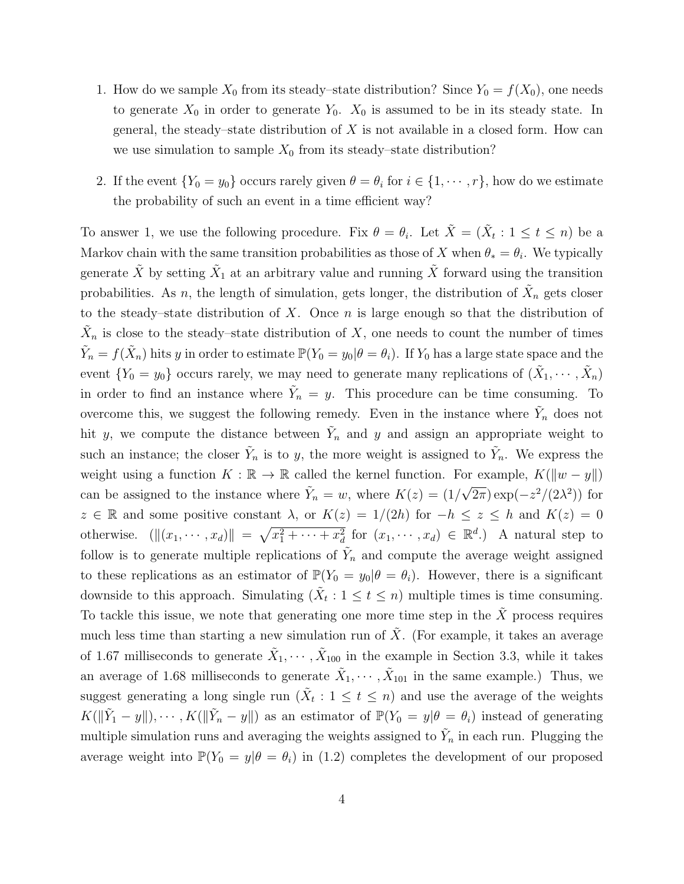- 1. How do we sample  $X_0$  from its steady–state distribution? Since  $Y_0 = f(X_0)$ , one needs to generate  $X_0$  in order to generate  $Y_0$ .  $X_0$  is assumed to be in its steady state. In general, the steady–state distribution of  $X$  is not available in a closed form. How can we use simulation to sample  $X_0$  from its steady–state distribution?
- 2. If the event  $\{Y_0 = y_0\}$  occurs rarely given  $\theta = \theta_i$  for  $i \in \{1, \dots, r\}$ , how do we estimate the probability of such an event in a time efficient way?

To answer 1, we use the following procedure. Fix  $\theta = \theta_i$ . Let  $\tilde{X} = (\tilde{X}_t : 1 \le t \le n)$  be a Markov chain with the same transition probabilities as those of X when  $\theta_* = \theta_i$ . We typically generate  $\tilde{X}$  by setting  $\tilde{X}_1$  at an arbitrary value and running  $\tilde{X}$  forward using the transition probabilities. As n, the length of simulation, gets longer, the distribution of  $\tilde{X}_n$  gets closer to the steady–state distribution of X. Once  $n$  is large enough so that the distribution of  $\tilde{X}_n$  is close to the steady-state distribution of X, one needs to count the number of times  $\tilde{Y}_n = f(\tilde{X}_n)$  hits y in order to estimate  $\mathbb{P}(Y_0 = y_0 | \theta = \theta_i)$ . If  $Y_0$  has a large state space and the event  $\{Y_0 = y_0\}$  occurs rarely, we may need to generate many replications of  $(\tilde{X}_1, \dots, \tilde{X}_n)$ in order to find an instance where  $\tilde{Y}_n = y$ . This procedure can be time consuming. To overcome this, we suggest the following remedy. Even in the instance where  $\tilde{Y}_n$  does not hit y, we compute the distance between  $\tilde{Y}_n$  and y and assign an appropriate weight to such an instance; the closer  $\tilde{Y}_n$  is to y, the more weight is assigned to  $\tilde{Y}_n$ . We express the weight using a function  $K : \mathbb{R} \to \mathbb{R}$  called the kernel function. For example,  $K(\|w - y\|)$ can be assigned to the instance where  $\tilde{Y}_n = w$ , where  $K(z) = (1/2)^n$ √  $\overline{2\pi})\exp(-z^2/(2\lambda^2))$  for  $z \in \mathbb{R}$  and some positive constant  $\lambda$ , or  $K(z) = 1/(2h)$  for  $-h \leq z \leq h$  and  $K(z) = 0$ otherwise.  $(\|(x_1, \dots, x_d)\| = \sqrt{x_1^2 + \dots + x_d^2}$  for  $(x_1, \dots, x_d) \in \mathbb{R}^d$ .) A natural step to follow is to generate multiple replications of  $\tilde{Y}_n$  and compute the average weight assigned to these replications as an estimator of  $\mathbb{P}(Y_0 = y_0 | \theta = \theta_i)$ . However, there is a significant downside to this approach. Simulating  $(\tilde{X}_t : 1 \le t \le n)$  multiple times is time consuming. To tackle this issue, we note that generating one more time step in the  $X$  process requires much less time than starting a new simulation run of  $\tilde{X}$ . (For example, it takes an average of 1.67 milliseconds to generate  $\tilde{X}_1, \cdots, \tilde{X}_{100}$  in the example in Section 3.3, while it takes an average of 1.68 milliseconds to generate  $\tilde{X}_1, \cdots, \tilde{X}_{101}$  in the same example.) Thus, we suggest generating a long single run  $(\tilde{X}_t : 1 \le t \le n)$  and use the average of the weights  $K(\|\tilde{Y}_1-y\|), \cdots, K(\|\tilde{Y}_n-y\|)$  as an estimator of  $\mathbb{P}(Y_0=y|\theta=\theta_i)$  instead of generating multiple simulation runs and averaging the weights assigned to  $\tilde{Y}_n$  in each run. Plugging the average weight into  $\mathbb{P}(Y_0 = y | \theta = \theta_i)$  in (1.2) completes the development of our proposed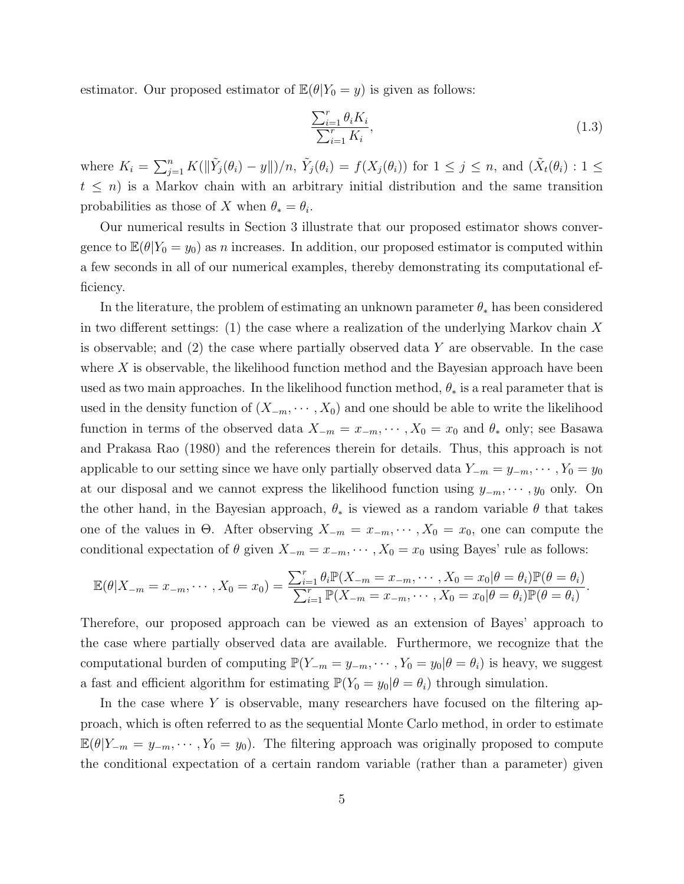estimator. Our proposed estimator of  $\mathbb{E}(\theta|Y_0 = y)$  is given as follows:

$$
\frac{\sum_{i=1}^{r} \theta_i K_i}{\sum_{i=1}^{r} K_i},\tag{1.3}
$$

where  $K_i = \sum_{j=1}^n K(||\tilde{Y}_j(\theta_i) - y||)/n$ ,  $\tilde{Y}_j(\theta_i) = f(X_j(\theta_i))$  for  $1 \leq j \leq n$ , and  $(\tilde{X}_t(\theta_i) : 1 \leq j \leq n)$  $t \leq n$ ) is a Markov chain with an arbitrary initial distribution and the same transition probabilities as those of X when  $\theta_* = \theta_i$ .

Our numerical results in Section 3 illustrate that our proposed estimator shows convergence to  $\mathbb{E}(\theta|Y_0 = y_0)$  as n increases. In addition, our proposed estimator is computed within a few seconds in all of our numerical examples, thereby demonstrating its computational efficiency.

In the literature, the problem of estimating an unknown parameter  $\theta_*$  has been considered in two different settings:  $(1)$  the case where a realization of the underlying Markov chain X is observable; and  $(2)$  the case where partially observed data Y are observable. In the case where  $X$  is observable, the likelihood function method and the Bayesian approach have been used as two main approaches. In the likelihood function method,  $\theta_*$  is a real parameter that is used in the density function of  $(X_{-m}, \dots, X_0)$  and one should be able to write the likelihood function in terms of the observed data  $X_{-m} = x_{-m}, \cdots, X_0 = x_0$  and  $\theta_*$  only; see Basawa and Prakasa Rao (1980) and the references therein for details. Thus, this approach is not applicable to our setting since we have only partially observed data  $Y_{-m} = y_{-m}, \cdots, Y_0 = y_0$ at our disposal and we cannot express the likelihood function using  $y_{-m}, \dots, y_0$  only. On the other hand, in the Bayesian approach,  $\theta_*$  is viewed as a random variable  $\theta$  that takes one of the values in  $\Theta$ . After observing  $X_{-m} = x_{-m}, \cdots, X_0 = x_0$ , one can compute the conditional expectation of  $\theta$  given  $X_{-m} = x_{-m}, \dots, X_0 = x_0$  using Bayes' rule as follows:

$$
\mathbb{E}(\theta|X_{-m}=x_{-m},\cdots,X_0=x_0)=\frac{\sum_{i=1}^r \theta_i \mathbb{P}(X_{-m}=x_{-m},\cdots,X_0=x_0|\theta=\theta_i) \mathbb{P}(\theta=\theta_i)}{\sum_{i=1}^r \mathbb{P}(X_{-m}=x_{-m},\cdots,X_0=x_0|\theta=\theta_i) \mathbb{P}(\theta=\theta_i)}.
$$

Therefore, our proposed approach can be viewed as an extension of Bayes' approach to the case where partially observed data are available. Furthermore, we recognize that the computational burden of computing  $\mathbb{P}(Y_{-m} = y_{-m}, \dots, Y_0 = y_0 | \theta = \theta_i)$  is heavy, we suggest a fast and efficient algorithm for estimating  $\mathbb{P}(Y_0 = y_0 | \theta = \theta_i)$  through simulation.

In the case where Y is observable, many researchers have focused on the filtering approach, which is often referred to as the sequential Monte Carlo method, in order to estimate  $\mathbb{E}(\theta|Y_{-m} = y_{-m}, \dots, Y_0 = y_0)$ . The filtering approach was originally proposed to compute the conditional expectation of a certain random variable (rather than a parameter) given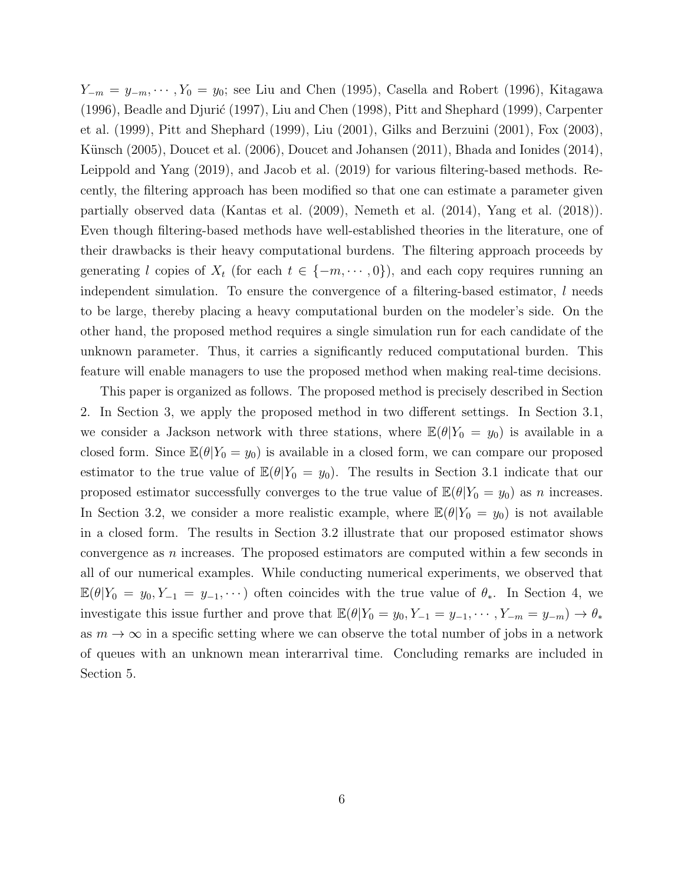$Y_{-m} = y_{-m}, \cdots, Y_0 = y_0$ ; see Liu and Chen (1995), Casella and Robert (1996), Kitagawa  $(1996)$ , Beadle and Djurić  $(1997)$ , Liu and Chen  $(1998)$ , Pitt and Shephard  $(1999)$ , Carpenter et al. (1999), Pitt and Shephard (1999), Liu (2001), Gilks and Berzuini (2001), Fox (2003), Künsch (2005), Doucet et al. (2006), Doucet and Johansen (2011), Bhada and Ionides (2014), Leippold and Yang (2019), and Jacob et al. (2019) for various filtering-based methods. Recently, the filtering approach has been modified so that one can estimate a parameter given partially observed data (Kantas et al. (2009), Nemeth et al. (2014), Yang et al. (2018)). Even though filtering-based methods have well-established theories in the literature, one of their drawbacks is their heavy computational burdens. The filtering approach proceeds by generating l copies of  $X_t$  (for each  $t \in \{-m, \dots, 0\}$ ), and each copy requires running an independent simulation. To ensure the convergence of a filtering-based estimator,  $l$  needs to be large, thereby placing a heavy computational burden on the modeler's side. On the other hand, the proposed method requires a single simulation run for each candidate of the unknown parameter. Thus, it carries a significantly reduced computational burden. This feature will enable managers to use the proposed method when making real-time decisions.

This paper is organized as follows. The proposed method is precisely described in Section 2. In Section 3, we apply the proposed method in two different settings. In Section 3.1, we consider a Jackson network with three stations, where  $\mathbb{E}(\theta|Y_0 = y_0)$  is available in a closed form. Since  $\mathbb{E}(\theta|Y_0 = y_0)$  is available in a closed form, we can compare our proposed estimator to the true value of  $\mathbb{E}(\theta|Y_0 = y_0)$ . The results in Section 3.1 indicate that our proposed estimator successfully converges to the true value of  $\mathbb{E}(\theta|Y_0 = y_0)$  as n increases. In Section 3.2, we consider a more realistic example, where  $\mathbb{E}(\theta|Y_0 = y_0)$  is not available in a closed form. The results in Section 3.2 illustrate that our proposed estimator shows convergence as n increases. The proposed estimators are computed within a few seconds in all of our numerical examples. While conducting numerical experiments, we observed that  $\mathbb{E}(\theta|Y_0 = y_0, Y_{-1} = y_{-1}, \dots)$  often coincides with the true value of  $\theta_*$ . In Section 4, we investigate this issue further and prove that  $\mathbb{E}(\theta|Y_0 = y_0, Y_{-1} = y_{-1}, \dots, Y_{-m} = y_{-m}) \to \theta_*$ as  $m \to \infty$  in a specific setting where we can observe the total number of jobs in a network of queues with an unknown mean interarrival time. Concluding remarks are included in Section 5.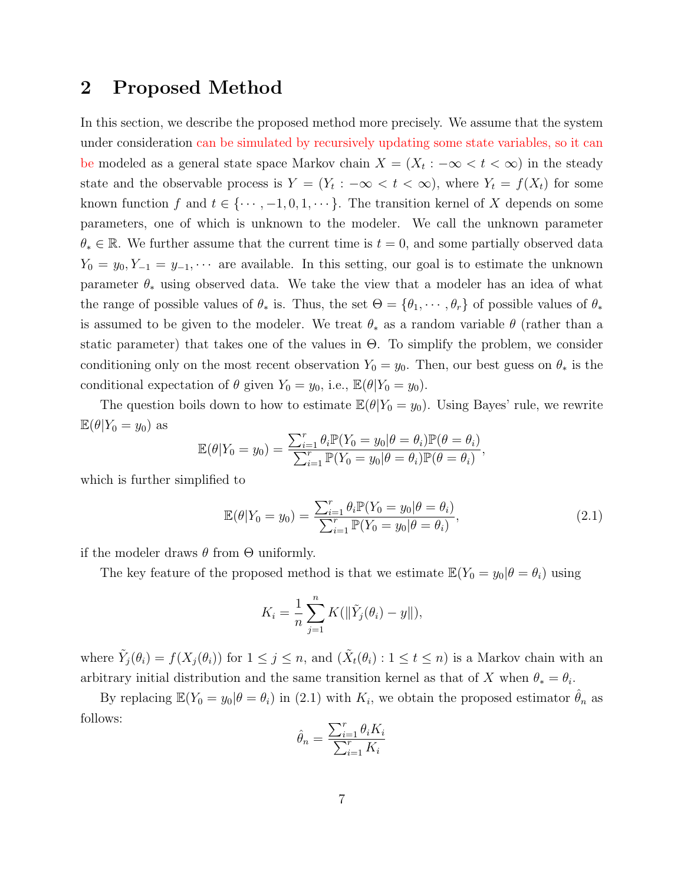## 2 Proposed Method

In this section, we describe the proposed method more precisely. We assume that the system under consideration can be simulated by recursively updating some state variables, so it can be modeled as a general state space Markov chain  $X = (X_t : -\infty < t < \infty)$  in the steady state and the observable process is  $Y = (Y_t : -\infty < t < \infty)$ , where  $Y_t = f(X_t)$  for some known function f and  $t \in \{\dots, -1, 0, 1, \dots\}$ . The transition kernel of X depends on some parameters, one of which is unknown to the modeler. We call the unknown parameter  $\theta_* \in \mathbb{R}$ . We further assume that the current time is  $t = 0$ , and some partially observed data  $Y_0 = y_0, Y_{-1} = y_{-1}, \cdots$  are available. In this setting, our goal is to estimate the unknown parameter  $\theta_*$  using observed data. We take the view that a modeler has an idea of what the range of possible values of  $\theta_*$  is. Thus, the set  $\Theta = {\theta_1, \dots, \theta_r}$  of possible values of  $\theta_*$ is assumed to be given to the modeler. We treat  $\theta_*$  as a random variable  $\theta$  (rather than a static parameter) that takes one of the values in Θ. To simplify the problem, we consider conditioning only on the most recent observation  $Y_0 = y_0$ . Then, our best guess on  $\theta_*$  is the conditional expectation of  $\theta$  given  $Y_0 = y_0$ , i.e.,  $\mathbb{E}(\theta|Y_0 = y_0)$ .

The question boils down to how to estimate  $\mathbb{E}(\theta|Y_0 = y_0)$ . Using Bayes' rule, we rewrite  $\mathbb{E}(\theta|Y_0=y_0)$  as

$$
\mathbb{E}(\theta|Y_0 = y_0) = \frac{\sum_{i=1}^r \theta_i \mathbb{P}(Y_0 = y_0|\theta = \theta_i) \mathbb{P}(\theta = \theta_i)}{\sum_{i=1}^r \mathbb{P}(Y_0 = y_0|\theta = \theta_i) \mathbb{P}(\theta = \theta_i)},
$$

which is further simplified to

$$
\mathbb{E}(\theta|Y_0 = y_0) = \frac{\sum_{i=1}^r \theta_i \mathbb{P}(Y_0 = y_0|\theta = \theta_i)}{\sum_{i=1}^r \mathbb{P}(Y_0 = y_0|\theta = \theta_i)},
$$
\n(2.1)

if the modeler draws  $\theta$  from  $\Theta$  uniformly.

The key feature of the proposed method is that we estimate  $\mathbb{E}(Y_0 = y_0 | \theta = \theta_i)$  using

$$
K_i = \frac{1}{n} \sum_{j=1}^n K(||\tilde{Y}_j(\theta_i) - y||),
$$

where  $\tilde{Y}_j(\theta_i) = f(X_j(\theta_i))$  for  $1 \leq j \leq n$ , and  $(\tilde{X}_t(\theta_i) : 1 \leq t \leq n)$  is a Markov chain with an arbitrary initial distribution and the same transition kernel as that of X when  $\theta_* = \theta_i$ .

By replacing  $\mathbb{E}(Y_0 = y_0 | \theta = \theta_i)$  in (2.1) with  $K_i$ , we obtain the proposed estimator  $\hat{\theta}_n$  as follows:

$$
\hat{\theta}_n = \frac{\sum_{i=1}^r \theta_i K_i}{\sum_{i=1}^r K_i}
$$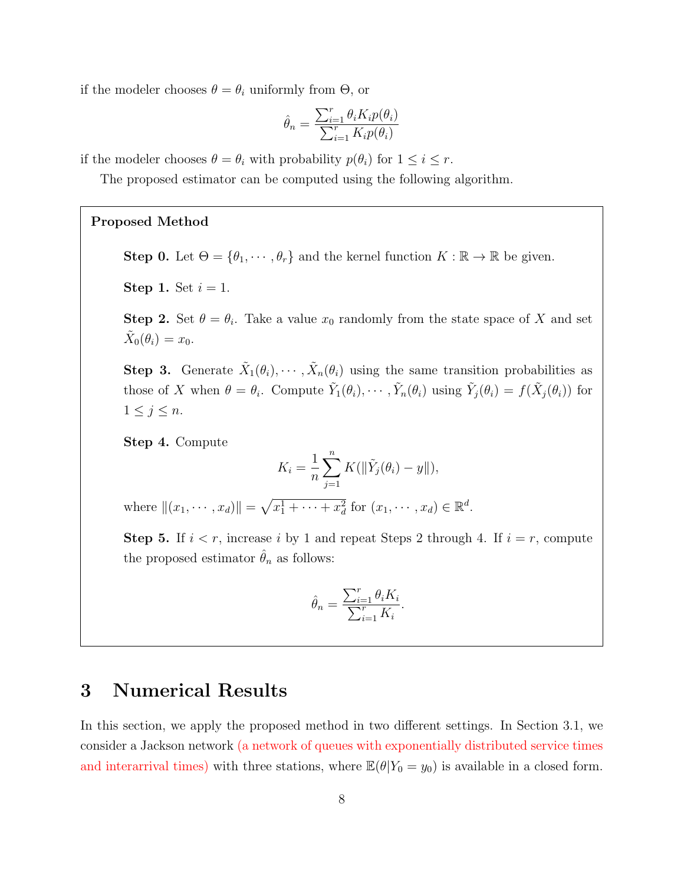if the modeler chooses  $\theta = \theta_i$  uniformly from  $\Theta$ , or

$$
\hat{\theta}_n = \frac{\sum_{i=1}^r \theta_i K_i p(\theta_i)}{\sum_{i=1}^r K_i p(\theta_i)}
$$

if the modeler chooses  $\theta = \theta_i$  with probability  $p(\theta_i)$  for  $1 \leq i \leq r$ .

The proposed estimator can be computed using the following algorithm.

#### Proposed Method

**Step 0.** Let  $\Theta = \{\theta_1, \dots, \theta_r\}$  and the kernel function  $K : \mathbb{R} \to \mathbb{R}$  be given.

**Step 1.** Set  $i = 1$ .

**Step 2.** Set  $\theta = \theta_i$ . Take a value  $x_0$  randomly from the state space of X and set  $\tilde{X}_0(\theta_i) = x_0.$ 

Step 3. Generate  $\tilde{X}_1(\theta_i), \cdots, \tilde{X}_n(\theta_i)$  using the same transition probabilities as those of X when  $\theta = \theta_i$ . Compute  $\tilde{Y}_1(\theta_i), \cdots, \tilde{Y}_n(\theta_i)$  using  $\tilde{Y}_j(\theta_i) = f(\tilde{X}_j(\theta_i))$  for  $1 \leq j \leq n$ .

Step 4. Compute

$$
K_i = \frac{1}{n} \sum_{j=1}^n K(||\tilde{Y}_j(\theta_i) - y||),
$$

where  $||(x_1, \dots, x_d)|| = \sqrt{x_1^1 + \dots + x_d^2}$  for  $(x_1, \dots, x_d) \in \mathbb{R}^d$ .

**Step 5.** If  $i < r$ , increase i by 1 and repeat Steps 2 through 4. If  $i = r$ , compute the proposed estimator  $\theta_n$  as follows:

$$
\hat{\theta}_n = \frac{\sum_{i=1}^r \theta_i K_i}{\sum_{i=1}^r K_i}.
$$

## 3 Numerical Results

In this section, we apply the proposed method in two different settings. In Section 3.1, we consider a Jackson network (a network of queues with exponentially distributed service times and interarrival times) with three stations, where  $\mathbb{E}(\theta|Y_0 = y_0)$  is available in a closed form.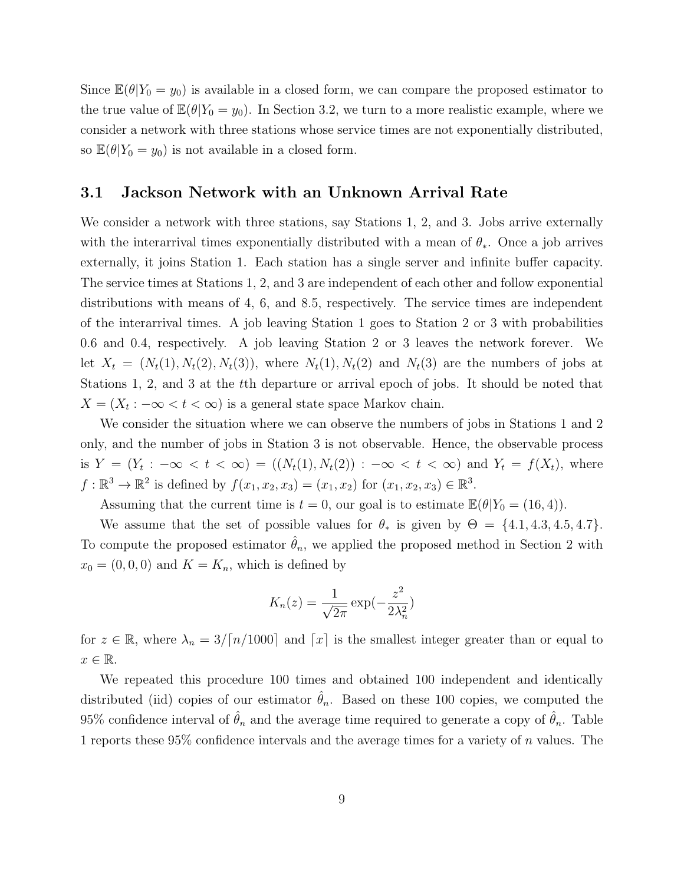Since  $\mathbb{E}(\theta|Y_0 = y_0)$  is available in a closed form, we can compare the proposed estimator to the true value of  $\mathbb{E}(\theta|Y_0 = y_0)$ . In Section 3.2, we turn to a more realistic example, where we consider a network with three stations whose service times are not exponentially distributed, so  $\mathbb{E}(\theta|Y_0=y_0)$  is not available in a closed form.

#### 3.1 Jackson Network with an Unknown Arrival Rate

We consider a network with three stations, say Stations 1, 2, and 3. Jobs arrive externally with the interarrival times exponentially distributed with a mean of  $\theta_*$ . Once a job arrives externally, it joins Station 1. Each station has a single server and infinite buffer capacity. The service times at Stations 1, 2, and 3 are independent of each other and follow exponential distributions with means of 4, 6, and 8.5, respectively. The service times are independent of the interarrival times. A job leaving Station 1 goes to Station 2 or 3 with probabilities 0.6 and 0.4, respectively. A job leaving Station 2 or 3 leaves the network forever. We let  $X_t = (N_t(1), N_t(2), N_t(3))$ , where  $N_t(1), N_t(2)$  and  $N_t(3)$  are the numbers of jobs at Stations 1, 2, and 3 at the tth departure or arrival epoch of jobs. It should be noted that  $X = (X_t : -\infty < t < \infty)$  is a general state space Markov chain.

We consider the situation where we can observe the numbers of jobs in Stations 1 and 2 only, and the number of jobs in Station 3 is not observable. Hence, the observable process is  $Y = (Y_t : -\infty < t < \infty) = ((N_t(1), N_t(2)) : -\infty < t < \infty)$  and  $Y_t = f(X_t)$ , where  $f: \mathbb{R}^3 \to \mathbb{R}^2$  is defined by  $f(x_1, x_2, x_3) = (x_1, x_2)$  for  $(x_1, x_2, x_3) \in \mathbb{R}^3$ .

Assuming that the current time is  $t = 0$ , our goal is to estimate  $\mathbb{E}(\theta|Y_0 = (16, 4)).$ 

We assume that the set of possible values for  $\theta_*$  is given by  $\Theta = \{4.1, 4.3, 4.5, 4.7\}.$ To compute the proposed estimator  $\theta_n$ , we applied the proposed method in Section 2 with  $x_0 = (0, 0, 0)$  and  $K = K_n$ , which is defined by

$$
K_n(z) = \frac{1}{\sqrt{2\pi}} \exp(-\frac{z^2}{2\lambda_n^2})
$$

for  $z \in \mathbb{R}$ , where  $\lambda_n = 3/\lceil n/1000 \rceil$  and  $\lceil x \rceil$  is the smallest integer greater than or equal to  $x \in \mathbb{R}$ .

We repeated this procedure 100 times and obtained 100 independent and identically distributed (iid) copies of our estimator  $\hat{\theta}_n$ . Based on these 100 copies, we computed the 95% confidence interval of  $\hat{\theta}_n$  and the average time required to generate a copy of  $\hat{\theta}_n$ . Table 1 reports these 95% confidence intervals and the average times for a variety of n values. The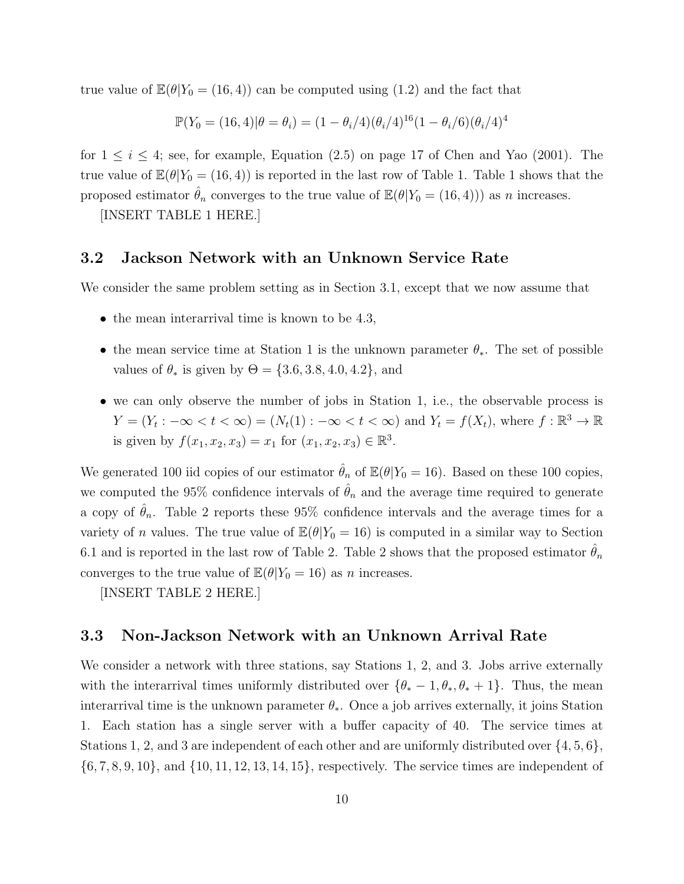true value of  $\mathbb{E}(\theta|Y_0 = (16, 4))$  can be computed using  $(1.2)$  and the fact that

$$
\mathbb{P}(Y_0 = (16, 4)|\theta = \theta_i) = (1 - \theta_i/4)(\theta_i/4)^{16}(1 - \theta_i/6)(\theta_i/4)^{4}
$$

for  $1 \leq i \leq 4$ ; see, for example, Equation (2.5) on page 17 of Chen and Yao (2001). The true value of  $\mathbb{E}(\theta|Y_0 = (16, 4))$  is reported in the last row of Table 1. Table 1 shows that the proposed estimator  $\hat{\theta}_n$  converges to the true value of  $\mathbb{E}(\theta|Y_0 = (16, 4))$  as n increases.

[INSERT TABLE 1 HERE.]

### 3.2 Jackson Network with an Unknown Service Rate

We consider the same problem setting as in Section 3.1, except that we now assume that

- the mean interarrival time is known to be 4.3,
- the mean service time at Station 1 is the unknown parameter  $\theta_*$ . The set of possible values of  $\theta_*$  is given by  $\Theta = \{3.6, 3.8, 4.0, 4.2\}$ , and
- we can only observe the number of jobs in Station 1, i.e., the observable process is  $Y = (Y_t : -\infty < t < \infty) = (N_t(1) : -\infty < t < \infty)$  and  $Y_t = f(X_t)$ , where  $f : \mathbb{R}^3 \to \mathbb{R}$ is given by  $f(x_1, x_2, x_3) = x_1$  for  $(x_1, x_2, x_3) \in \mathbb{R}^3$ .

We generated 100 iid copies of our estimator  $\hat{\theta}_n$  of  $\mathbb{E}(\theta|Y_0 = 16)$ . Based on these 100 copies, we computed the 95% confidence intervals of  $\hat{\theta}_n$  and the average time required to generate a copy of  $\hat{\theta}_n$ . Table 2 reports these 95% confidence intervals and the average times for a variety of *n* values. The true value of  $\mathbb{E}(\theta|Y_0 = 16)$  is computed in a similar way to Section 6.1 and is reported in the last row of Table 2. Table 2 shows that the proposed estimator  $\theta_n$ converges to the true value of  $\mathbb{E}(\theta|Y_0 = 16)$  as n increases.

[INSERT TABLE 2 HERE.]

#### 3.3 Non-Jackson Network with an Unknown Arrival Rate

We consider a network with three stations, say Stations 1, 2, and 3. Jobs arrive externally with the interarrival times uniformly distributed over  $\{\theta_* - 1, \theta_*, \theta_* + 1\}$ . Thus, the mean interarrival time is the unknown parameter  $\theta_*$ . Once a job arrives externally, it joins Station 1. Each station has a single server with a buffer capacity of 40. The service times at Stations 1, 2, and 3 are independent of each other and are uniformly distributed over {4, 5, 6},  $\{6, 7, 8, 9, 10\}$ , and  $\{10, 11, 12, 13, 14, 15\}$ , respectively. The service times are independent of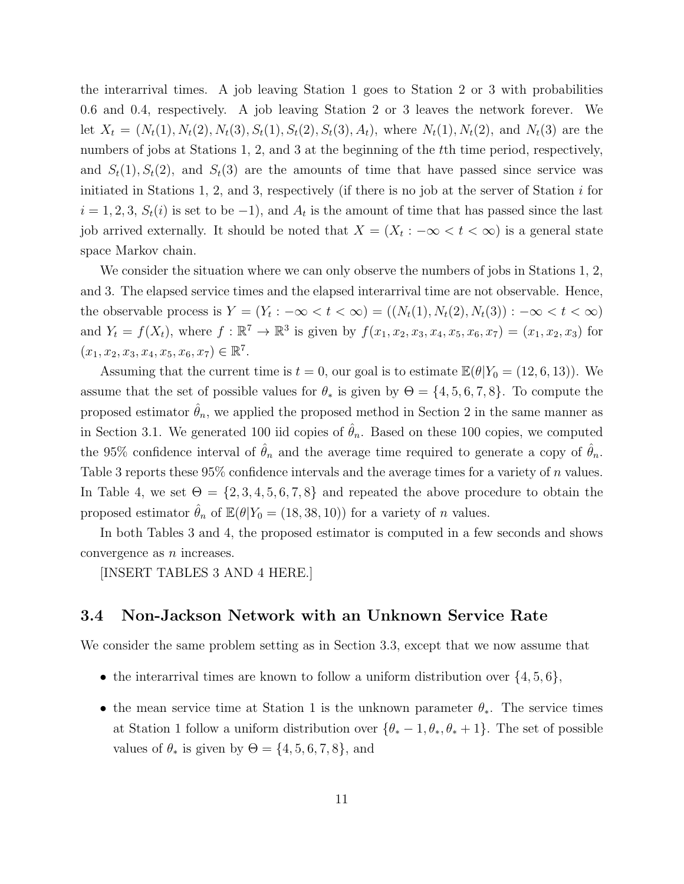the interarrival times. A job leaving Station 1 goes to Station 2 or 3 with probabilities 0.6 and 0.4, respectively. A job leaving Station 2 or 3 leaves the network forever. We let  $X_t = (N_t(1), N_t(2), N_t(3), S_t(1), S_t(2), S_t(3), A_t)$ , where  $N_t(1), N_t(2)$ , and  $N_t(3)$  are the numbers of jobs at Stations 1, 2, and 3 at the beginning of the t<sup>th</sup> time period, respectively, and  $S_t(1)$ ,  $S_t(2)$ , and  $S_t(3)$  are the amounts of time that have passed since service was initiated in Stations 1, 2, and 3, respectively (if there is no job at the server of Station  $i$  for  $i = 1, 2, 3, S_t(i)$  is set to be  $-1$ , and  $A_t$  is the amount of time that has passed since the last job arrived externally. It should be noted that  $X = (X_t : -\infty < t < \infty)$  is a general state space Markov chain.

We consider the situation where we can only observe the numbers of jobs in Stations 1, 2, and 3. The elapsed service times and the elapsed interarrival time are not observable. Hence, the observable process is  $Y = (Y_t : -\infty < t < \infty) = ((N_t(1), N_t(2), N_t(3)) : -\infty < t < \infty)$ and  $Y_t = f(X_t)$ , where  $f : \mathbb{R}^7 \to \mathbb{R}^3$  is given by  $f(x_1, x_2, x_3, x_4, x_5, x_6, x_7) = (x_1, x_2, x_3)$  for  $(x_1, x_2, x_3, x_4, x_5, x_6, x_7) \in \mathbb{R}^7$ .

Assuming that the current time is  $t = 0$ , our goal is to estimate  $\mathbb{E}(\theta|Y_0 = (12, 6, 13))$ . We assume that the set of possible values for  $\theta_*$  is given by  $\Theta = \{4, 5, 6, 7, 8\}$ . To compute the proposed estimator  $\hat{\theta}_n$ , we applied the proposed method in Section 2 in the same manner as in Section 3.1. We generated 100 iid copies of  $\hat{\theta}_n$ . Based on these 100 copies, we computed the 95% confidence interval of  $\hat{\theta}_n$  and the average time required to generate a copy of  $\hat{\theta}_n$ . Table 3 reports these 95% confidence intervals and the average times for a variety of n values. In Table 4, we set  $\Theta = \{2, 3, 4, 5, 6, 7, 8\}$  and repeated the above procedure to obtain the proposed estimator  $\hat{\theta}_n$  of  $\mathbb{E}(\theta|Y_0 = (18, 38, 10))$  for a variety of *n* values.

In both Tables 3 and 4, the proposed estimator is computed in a few seconds and shows convergence as n increases.

[INSERT TABLES 3 AND 4 HERE.]

#### 3.4 Non-Jackson Network with an Unknown Service Rate

We consider the same problem setting as in Section 3.3, except that we now assume that

- the interarrival times are known to follow a uniform distribution over  $\{4, 5, 6\}$ ,
- the mean service time at Station 1 is the unknown parameter  $\theta_*$ . The service times at Station 1 follow a uniform distribution over  $\{\theta_* - 1, \theta_*, \theta_* + 1\}$ . The set of possible values of  $\theta_*$  is given by  $\Theta = \{4, 5, 6, 7, 8\}$ , and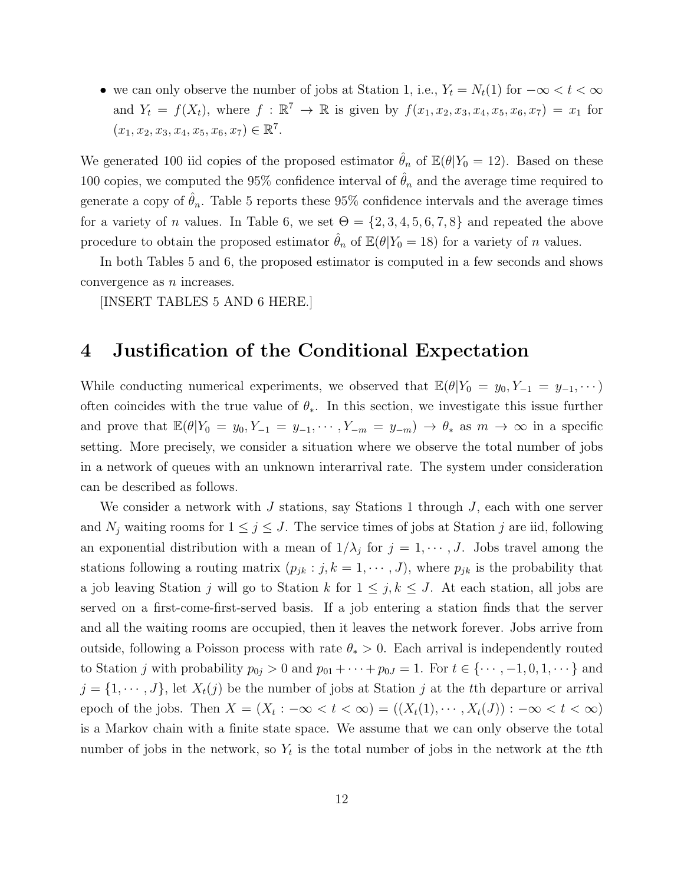• we can only observe the number of jobs at Station 1, i.e.,  $Y_t = N_t(1)$  for  $-\infty < t < \infty$ and  $Y_t = f(X_t)$ , where  $f : \mathbb{R}^7 \to \mathbb{R}$  is given by  $f(x_1, x_2, x_3, x_4, x_5, x_6, x_7) = x_1$  for  $(x_1, x_2, x_3, x_4, x_5, x_6, x_7) \in \mathbb{R}^7$ .

We generated 100 iid copies of the proposed estimator  $\hat{\theta}_n$  of  $\mathbb{E}(\theta|Y_0 = 12)$ . Based on these 100 copies, we computed the 95% confidence interval of  $\hat{\theta}_n$  and the average time required to generate a copy of  $\hat{\theta}_n$ . Table 5 reports these 95% confidence intervals and the average times for a variety of *n* values. In Table 6, we set  $\Theta = \{2, 3, 4, 5, 6, 7, 8\}$  and repeated the above procedure to obtain the proposed estimator  $\hat{\theta}_n$  of  $\mathbb{E}(\theta|Y_0 = 18)$  for a variety of n values.

In both Tables 5 and 6, the proposed estimator is computed in a few seconds and shows convergence as n increases.

[INSERT TABLES 5 AND 6 HERE.]

## 4 Justification of the Conditional Expectation

While conducting numerical experiments, we observed that  $\mathbb{E}(\theta|Y_0 = y_0, Y_{-1} = y_{-1}, \dots)$ often coincides with the true value of  $\theta_*$ . In this section, we investigate this issue further and prove that  $\mathbb{E}(\theta|Y_0 = y_0, Y_{-1} = y_{-1}, \cdots, Y_{-m} = y_{-m}) \to \theta_*$  as  $m \to \infty$  in a specific setting. More precisely, we consider a situation where we observe the total number of jobs in a network of queues with an unknown interarrival rate. The system under consideration can be described as follows.

We consider a network with J stations, say Stations 1 through  $J$ , each with one server and  $N_j$  waiting rooms for  $1 \leq j \leq J$ . The service times of jobs at Station j are iid, following an exponential distribution with a mean of  $1/\lambda_j$  for  $j = 1, \dots, J$ . Jobs travel among the stations following a routing matrix  $(p_{jk} : j, k = 1, \dots, J)$ , where  $p_{jk}$  is the probability that a job leaving Station j will go to Station k for  $1 \leq j, k \leq J$ . At each station, all jobs are served on a first-come-first-served basis. If a job entering a station finds that the server and all the waiting rooms are occupied, then it leaves the network forever. Jobs arrive from outside, following a Poisson process with rate  $\theta_* > 0$ . Each arrival is independently routed to Station j with probability  $p_{0j} > 0$  and  $p_{01} + \cdots + p_{0J} = 1$ . For  $t \in \{\cdots, -1, 0, 1, \cdots\}$  and  $j = \{1, \dots, J\}$ , let  $X_t(j)$  be the number of jobs at Station j at the tth departure or arrival epoch of the jobs. Then  $X = (X_t : -\infty < t < \infty) = ((X_t(1), \cdots, X_t(J)) : -\infty < t < \infty)$ is a Markov chain with a finite state space. We assume that we can only observe the total number of jobs in the network, so  $Y_t$  is the total number of jobs in the network at the tth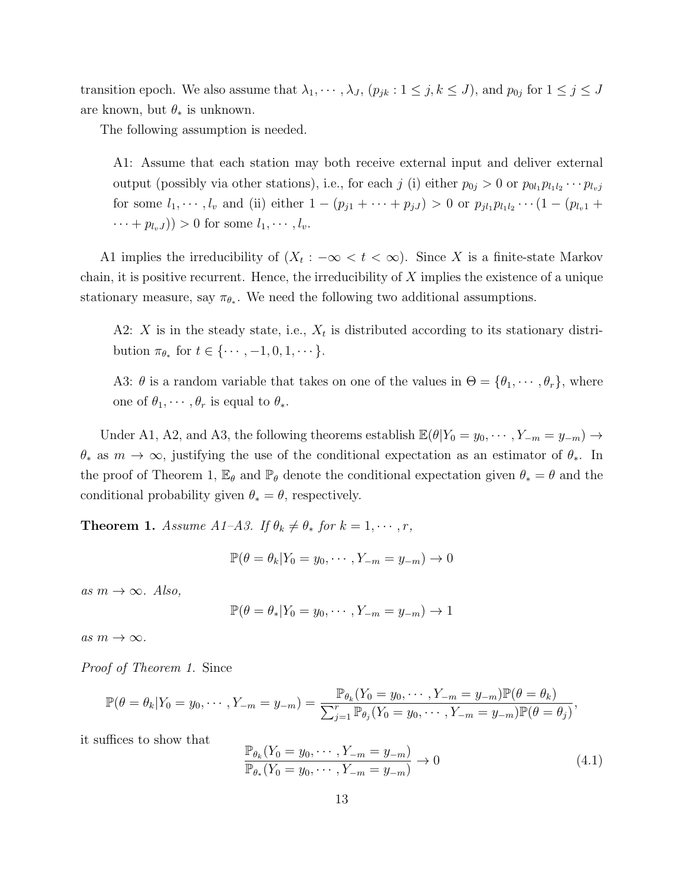transition epoch. We also assume that  $\lambda_1, \dots, \lambda_J$ ,  $(p_{jk}: 1 \le j, k \le J)$ , and  $p_{0j}$  for  $1 \le j \le J$ are known, but  $\theta_*$  is unknown.

The following assumption is needed.

A1: Assume that each station may both receive external input and deliver external output (possibly via other stations), i.e., for each j (i) either  $p_{0j} > 0$  or  $p_{0l_1}p_{l_1l_2}\cdots p_{l_vj_l}$ for some  $l_1, \dots, l_v$  and (ii) either  $1 - (p_{j1} + \dots + p_{jJ}) > 0$  or  $p_{jl_1} p_{l_1 l_2} \dots (1 - (p_{l_v 1} + p_{j_v 1})$  $\cdots + p_{l_v}$  $)) > 0$  for some  $l_1, \cdots, l_v$ .

A1 implies the irreducibility of  $(X_t: -\infty < t < \infty)$ . Since X is a finite-state Markov chain, it is positive recurrent. Hence, the irreducibility of  $X$  implies the existence of a unique stationary measure, say  $\pi_{\theta_*}$ . We need the following two additional assumptions.

A2: X is in the steady state, i.e.,  $X_t$  is distributed according to its stationary distribution  $\pi_{\theta_*}$  for  $t \in \{\cdots, -1, 0, 1, \cdots\}$ .

A3:  $\theta$  is a random variable that takes on one of the values in  $\Theta = {\theta_1, \dots, \theta_r}$ , where one of  $\theta_1, \cdots, \theta_r$  is equal to  $\theta_*$ .

Under A1, A2, and A3, the following theorems establish  $\mathbb{E}(\theta|Y_0 = y_0, \dots, Y_{-m} = y_{-m}) \rightarrow$  $\theta_*$  as  $m \to \infty$ , justifying the use of the conditional expectation as an estimator of  $\theta_*$ . In the proof of Theorem 1,  $\mathbb{E}_{\theta}$  and  $\mathbb{P}_{\theta}$  denote the conditional expectation given  $\theta_* = \theta$  and the conditional probability given  $\theta_* = \theta$ , respectively.

**Theorem 1.** Assume A1–A3. If  $\theta_k \neq \theta_*$  for  $k = 1, \dots, r$ ,

$$
\mathbb{P}(\theta = \theta_k | Y_0 = y_0, \cdots, Y_{-m} = y_{-m}) \to 0
$$

as  $m \to \infty$ . Also,

$$
\mathbb{P}(\theta = \theta_* | Y_0 = y_0, \cdots, Y_{-m} = y_{-m}) \to 1
$$

as  $m \to \infty$ .

Proof of Theorem 1. Since

$$
\mathbb{P}(\theta = \theta_k | Y_0 = y_0, \cdots, Y_{-m} = y_{-m}) = \frac{\mathbb{P}_{\theta_k}(Y_0 = y_0, \cdots, Y_{-m} = y_{-m}) \mathbb{P}(\theta = \theta_k)}{\sum_{j=1}^r \mathbb{P}_{\theta_j}(Y_0 = y_0, \cdots, Y_{-m} = y_{-m}) \mathbb{P}(\theta = \theta_j)},
$$

it suffices to show that

$$
\frac{\mathbb{P}_{\theta_k}(Y_0 = y_0, \cdots, Y_{-m} = y_{-m})}{\mathbb{P}_{\theta_*}(Y_0 = y_0, \cdots, Y_{-m} = y_{-m})} \to 0
$$
\n(4.1)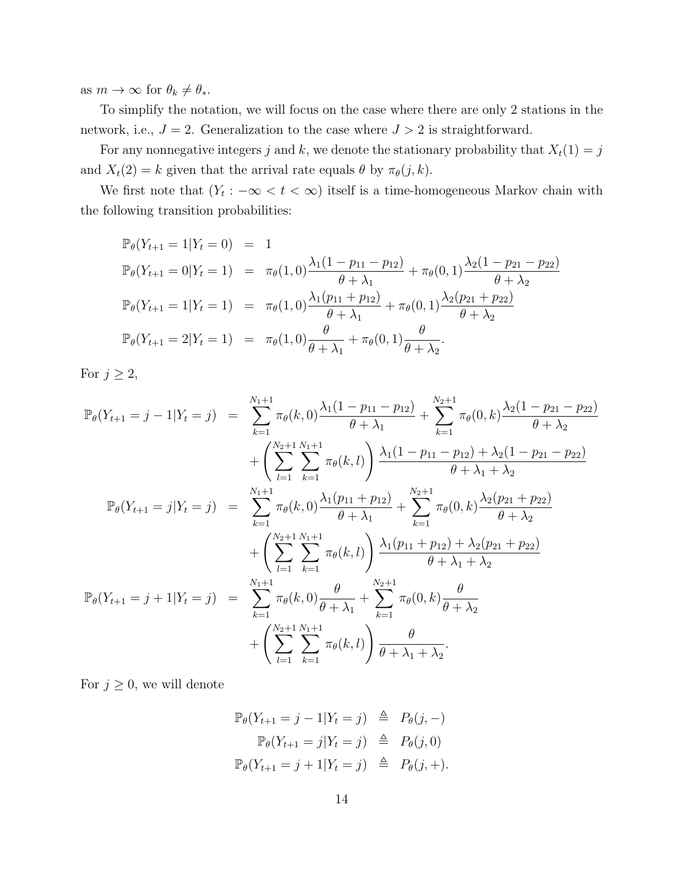as  $m \to \infty$  for  $\theta_k \neq \theta_*$ .

To simplify the notation, we will focus on the case where there are only 2 stations in the network, i.e.,  $J = 2$ . Generalization to the case where  $J > 2$  is straightforward.

For any nonnegative integers j and k, we denote the stationary probability that  $X_t(1) = j$ and  $X_t(2) = k$  given that the arrival rate equals  $\theta$  by  $\pi_{\theta}(j, k)$ .

We first note that  $(Y_t: -\infty < t < \infty)$  itself is a time-homogeneous Markov chain with the following transition probabilities:

$$
\mathbb{P}_{\theta}(Y_{t+1} = 1 | Y_t = 0) = 1
$$
\n
$$
\mathbb{P}_{\theta}(Y_{t+1} = 0 | Y_t = 1) = \pi_{\theta}(1, 0) \frac{\lambda_1 (1 - p_{11} - p_{12})}{\theta + \lambda_1} + \pi_{\theta}(0, 1) \frac{\lambda_2 (1 - p_{21} - p_{22})}{\theta + \lambda_2}
$$
\n
$$
\mathbb{P}_{\theta}(Y_{t+1} = 1 | Y_t = 1) = \pi_{\theta}(1, 0) \frac{\lambda_1 (p_{11} + p_{12})}{\theta + \lambda_1} + \pi_{\theta}(0, 1) \frac{\lambda_2 (p_{21} + p_{22})}{\theta + \lambda_2}
$$
\n
$$
\mathbb{P}_{\theta}(Y_{t+1} = 2 | Y_t = 1) = \pi_{\theta}(1, 0) \frac{\theta}{\theta + \lambda_1} + \pi_{\theta}(0, 1) \frac{\theta}{\theta + \lambda_2}.
$$

For  $j \geq 2$ ,

$$
\mathbb{P}_{\theta}(Y_{t+1} = j - 1|Y_t = j) = \sum_{k=1}^{N_1+1} \pi_{\theta}(k,0) \frac{\lambda_1(1 - p_{11} - p_{12})}{\theta + \lambda_1} + \sum_{k=1}^{N_2+1} \pi_{\theta}(0,k) \frac{\lambda_2(1 - p_{21} - p_{22})}{\theta + \lambda_2} \n+ \left( \sum_{l=1}^{N_2+1} \sum_{k=1}^{N_1+1} \pi_{\theta}(k,l) \right) \frac{\lambda_1(1 - p_{11} - p_{12}) + \lambda_2(1 - p_{21} - p_{22})}{\theta + \lambda_1 + \lambda_2} \n\mathbb{P}_{\theta}(Y_{t+1} = j|Y_t = j) = \sum_{k=1}^{N_1+1} \pi_{\theta}(k,0) \frac{\lambda_1(p_{11} + p_{12})}{\theta + \lambda_1} + \sum_{k=1}^{N_2+1} \pi_{\theta}(0,k) \frac{\lambda_2(p_{21} + p_{22})}{\theta + \lambda_2} \n+ \left( \sum_{l=1}^{N_2+1} \sum_{k=1}^{N_1+1} \pi_{\theta}(k,l) \right) \frac{\lambda_1(p_{11} + p_{12}) + \lambda_2(p_{21} + p_{22})}{\theta + \lambda_1 + \lambda_2} \n\mathbb{P}_{\theta}(Y_{t+1} = j + 1|Y_t = j) = \sum_{k=1}^{N_1+1} \pi_{\theta}(k,0) \frac{\theta}{\theta + \lambda_1} + \sum_{k=1}^{N_2+1} \pi_{\theta}(0,k) \frac{\theta}{\theta + \lambda_2} \n+ \left( \sum_{l=1}^{N_2+1} \sum_{k=1}^{N_1+1} \pi_{\theta}(k,l) \right) \frac{\theta}{\theta + \lambda_1 + \lambda_2}.
$$

For  $j \geq 0$ , we will denote

$$
\mathbb{P}_{\theta}(Y_{t+1} = j - 1 | Y_t = j) \triangleq P_{\theta}(j, -)
$$

$$
\mathbb{P}_{\theta}(Y_{t+1} = j | Y_t = j) \triangleq P_{\theta}(j, 0)
$$

$$
\mathbb{P}_{\theta}(Y_{t+1} = j + 1 | Y_t = j) \triangleq P_{\theta}(j, +).
$$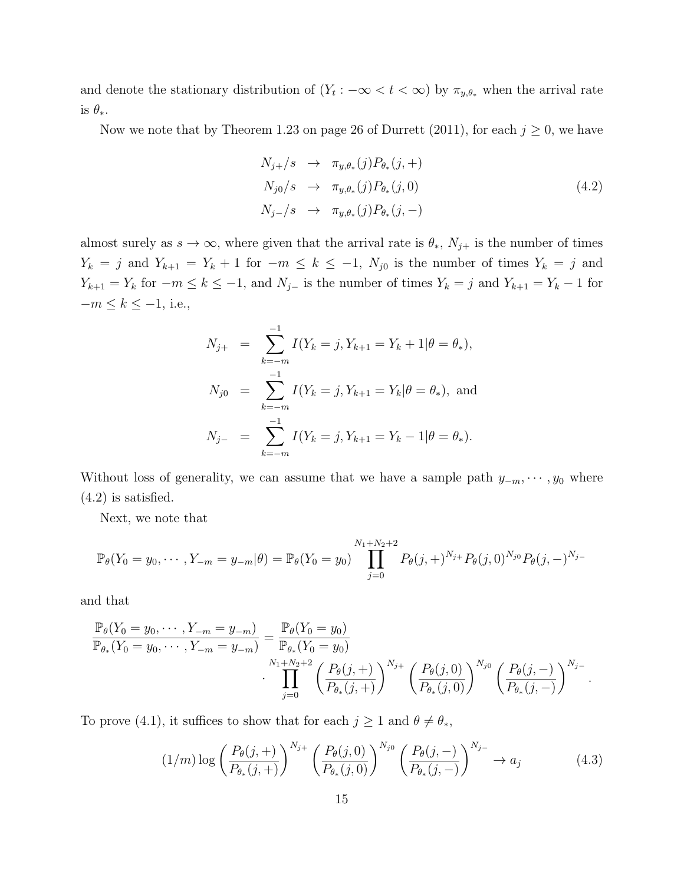and denote the stationary distribution of  $(Y_t: -\infty < t < \infty)$  by  $\pi_{y,\theta_*}$  when the arrival rate is  $\theta_*$ .

Now we note that by Theorem 1.23 on page 26 of Durrett (2011), for each  $j \geq 0$ , we have

$$
N_{j+}/s \rightarrow \pi_{y,\theta_*}(j)P_{\theta_*}(j, +)
$$
  
\n
$$
N_{j0}/s \rightarrow \pi_{y,\theta_*}(j)P_{\theta_*}(j, 0)
$$
  
\n
$$
N_{j-}/s \rightarrow \pi_{y,\theta_*}(j)P_{\theta_*}(j, -)
$$
\n(4.2)

almost surely as  $s \to \infty$ , where given that the arrival rate is  $\theta_*, N_{j+}$  is the number of times  $Y_k = j$  and  $Y_{k+1} = Y_k + 1$  for  $-m \le k \le -1$ ,  $N_{j0}$  is the number of times  $Y_k = j$  and  $Y_{k+1} = Y_k$  for  $-m \le k \le -1$ , and  $N_{j-}$  is the number of times  $Y_k = j$  and  $Y_{k+1} = Y_k - 1$  for  $-m \leq k \leq -1$ , i.e.,

$$
N_{j+} = \sum_{k=-m}^{-1} I(Y_k = j, Y_{k+1} = Y_k + 1 | \theta = \theta_*)
$$
\n
$$
N_{j0} = \sum_{k=-m}^{-1} I(Y_k = j, Y_{k+1} = Y_k | \theta = \theta_*)
$$
\nand\n
$$
N_{j-} = \sum_{k=-m}^{-1} I(Y_k = j, Y_{k+1} = Y_k - 1 | \theta = \theta_*)
$$

Without loss of generality, we can assume that we have a sample path  $y_{-m}, \dots, y_0$  where (4.2) is satisfied.

Next, we note that

$$
\mathbb{P}_{\theta}(Y_0 = y_0, \cdots, Y_{-m} = y_{-m}|\theta) = \mathbb{P}_{\theta}(Y_0 = y_0) \prod_{j=0}^{N_1 + N_2 + 2} P_{\theta}(j, +)^{N_j + P_{\theta}}(j, 0)^{N_j} P_{\theta}(j, -)^{N_j - p_{\theta}}(j, -)^{N_j - p_{\theta}}
$$

and that

$$
\frac{\mathbb{P}_{\theta}(Y_0 = y_0, \cdots, Y_{-m} = y_{-m})}{\mathbb{P}_{\theta_*}(Y_0 = y_0, \cdots, Y_{-m} = y_{-m})} = \frac{\mathbb{P}_{\theta}(Y_0 = y_0)}{\mathbb{P}_{\theta_*}(Y_0 = y_0)} \cdot \prod_{j=0}^{N_1+N_2+2} \left(\frac{P_{\theta}(j, +)}{P_{\theta_*}(j, +)}\right)^{N_{j+1}} \left(\frac{P_{\theta}(j, 0)}{P_{\theta_*}(j, 0)}\right)^{N_{j0}} \left(\frac{P_{\theta}(j, -)}{P_{\theta_*}(j, -)}\right)^{N_{j-1}}.
$$

To prove (4.1), it suffices to show that for each  $j \ge 1$  and  $\theta \ne \theta_*$ ,

$$
(1/m)\log\left(\frac{P_{\theta}(j, +)}{P_{\theta_*}(j, +)}\right)^{N_{j+}} \left(\frac{P_{\theta}(j, 0)}{P_{\theta_*}(j, 0)}\right)^{N_{j0}} \left(\frac{P_{\theta}(j, -)}{P_{\theta_*}(j, -)}\right)^{N_{j-}} \to a_j
$$
(4.3)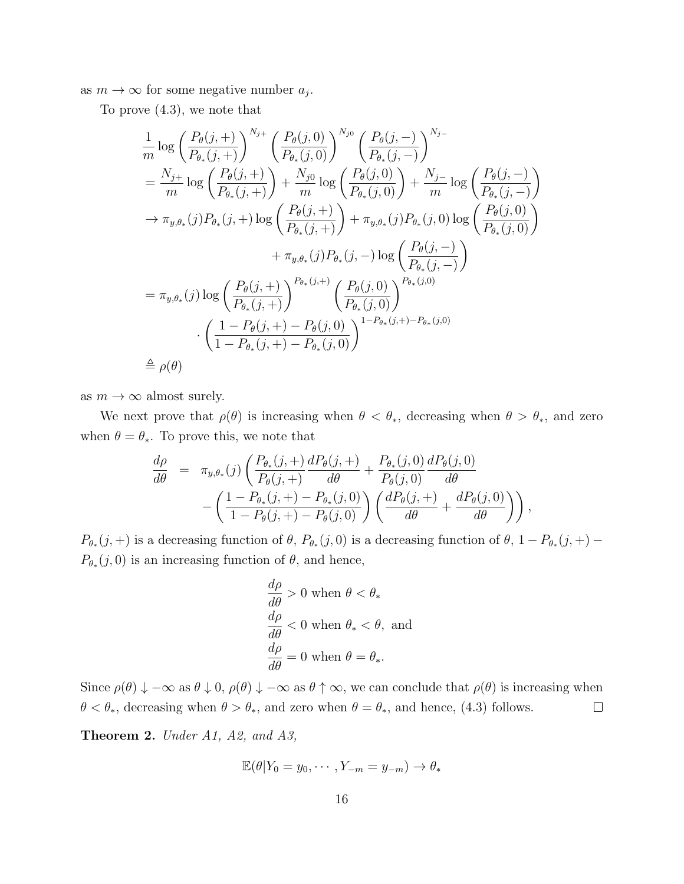as  $m \to \infty$  for some negative number  $a_j$ .

To prove (4.3), we note that

$$
\frac{1}{m} \log \left( \frac{P_{\theta}(j, +)}{P_{\theta_{*}}(j, +)} \right)^{N_{j+}} \left( \frac{P_{\theta}(j, 0)}{P_{\theta_{*}}(j, 0)} \right)^{N_{j0}} \left( \frac{P_{\theta}(j, -)}{P_{\theta_{*}}(j, -)} \right)^{N_{j-}}
$$
\n
$$
= \frac{N_{j+}}{m} \log \left( \frac{P_{\theta}(j, +)}{P_{\theta_{*}}(j, +)} \right) + \frac{N_{j0}}{m} \log \left( \frac{P_{\theta}(j, 0)}{P_{\theta_{*}}(j, 0)} \right) + \frac{N_{j-}}{m} \log \left( \frac{P_{\theta}(j, -)}{P_{\theta_{*}}(j, -)} \right)
$$
\n
$$
\to \pi_{y, \theta_{*}}(j) P_{\theta_{*}}(j, +) \log \left( \frac{P_{\theta}(j, +)}{P_{\theta_{*}}(j, +)} \right) + \pi_{y, \theta_{*}}(j) P_{\theta_{*}}(j, 0) \log \left( \frac{P_{\theta}(j, 0)}{P_{\theta_{*}}(j, 0)} \right)
$$
\n
$$
+ \pi_{y, \theta_{*}}(j) P_{\theta_{*}}(j, -) \log \left( \frac{P_{\theta}(j, -)}{P_{\theta_{*}}(j, -)} \right)
$$
\n
$$
= \pi_{y, \theta_{*}}(j) \log \left( \frac{P_{\theta}(j, +)}{P_{\theta_{*}}(j, +)} \right)^{P_{\theta_{*}}(j, +)} \left( \frac{P_{\theta}(j, 0)}{P_{\theta_{*}}(j, 0)} \right)^{P_{\theta_{*}}(j, 0)}
$$
\n
$$
\cdot \left( \frac{1 - P_{\theta}(j, +) - P_{\theta}(j, 0)}{1 - P_{\theta_{*}}(j, +) - P_{\theta_{*}}(j, 0)} \right)^{1 - P_{\theta_{*}}(j, +) - P_{\theta_{*}}(j, 0)}
$$
\n
$$
\stackrel{\triangle}{=} \rho(\theta)
$$

as  $m \to \infty$  almost surely.

We next prove that  $\rho(\theta)$  is increasing when  $\theta < \theta_*$ , decreasing when  $\theta > \theta_*$ , and zero when  $\theta = \theta_*$ . To prove this, we note that

$$
\frac{d\rho}{d\theta} = \pi_{y,\theta_*}(j) \left( \frac{P_{\theta_*}(j, +) dP_{\theta}(j, +)}{P_{\theta}(j, +)} + \frac{P_{\theta_*}(j, 0) dP_{\theta}(j, 0)}{P_{\theta}(j, 0)} \frac{dP_{\theta}(j, 0)}{d\theta} - \left( \frac{1 - P_{\theta_*}(j, +) - P_{\theta_*}(j, 0)}{1 - P_{\theta}(j, +) - P_{\theta}(j, 0)} \right) \left( \frac{dP_{\theta}(j, +) dP_{\theta}(j, 0)}{d\theta} + \frac{dP_{\theta}(j, 0)}{d\theta} \right) \right),
$$

 $P_{\theta_*}(j,+)$  is a decreasing function of  $\theta$ ,  $P_{\theta_*}(j,0)$  is a decreasing function of  $\theta$ ,  $1-P_{\theta_*}(j,+)$  $P_{\theta_*}(j,0)$  is an increasing function of  $\theta$ , and hence,

$$
\frac{d\rho}{d\theta} > 0 \text{ when } \theta < \theta_*
$$
  
\n
$$
\frac{d\rho}{d\theta} < 0 \text{ when } \theta_* < \theta, \text{ and}
$$
  
\n
$$
\frac{d\rho}{d\theta} = 0 \text{ when } \theta = \theta_*.
$$

Since  $\rho(\theta) \downarrow -\infty$  as  $\theta \downarrow 0$ ,  $\rho(\theta) \downarrow -\infty$  as  $\theta \uparrow \infty$ , we can conclude that  $\rho(\theta)$  is increasing when  $\theta < \theta_*$ , decreasing when  $\theta > \theta_*$ , and zero when  $\theta = \theta_*$ , and hence, (4.3) follows.  $\Box$ 

Theorem 2. Under A1, A2, and A3,

$$
\mathbb{E}(\theta|Y_0 = y_0, \cdots, Y_{-m} = y_{-m}) \to \theta_*
$$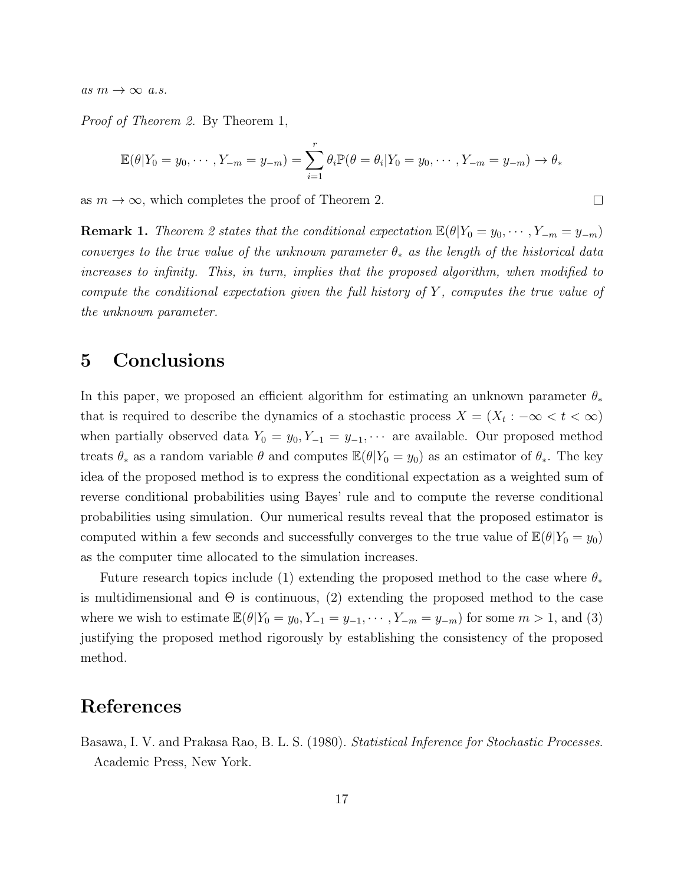as  $m \to \infty$  a.s.

Proof of Theorem 2. By Theorem 1,

$$
\mathbb{E}(\theta|Y_0 = y_0, \cdots, Y_{-m} = y_{-m}) = \sum_{i=1}^r \theta_i \mathbb{P}(\theta = \theta_i | Y_0 = y_0, \cdots, Y_{-m} = y_{-m}) \to \theta_*
$$

 $\Box$ 

as  $m \to \infty$ , which completes the proof of Theorem 2.

**Remark 1.** Theorem 2 states that the conditional expectation  $\mathbb{E}(\theta|Y_0 = y_0, \dots, Y_{-m} = y_{-m})$ converges to the true value of the unknown parameter  $\theta_*$  as the length of the historical data increases to infinity. This, in turn, implies that the proposed algorithm, when modified to compute the conditional expectation given the full history of  $Y$ , computes the true value of the unknown parameter.

## 5 Conclusions

In this paper, we proposed an efficient algorithm for estimating an unknown parameter  $\theta_*$ that is required to describe the dynamics of a stochastic process  $X = (X_t : -\infty < t < \infty)$ when partially observed data  $Y_0 = y_0, Y_{-1} = y_{-1}, \cdots$  are available. Our proposed method treats  $\theta_*$  as a random variable  $\theta$  and computes  $\mathbb{E}(\theta|Y_0 = y_0)$  as an estimator of  $\theta_*$ . The key idea of the proposed method is to express the conditional expectation as a weighted sum of reverse conditional probabilities using Bayes' rule and to compute the reverse conditional probabilities using simulation. Our numerical results reveal that the proposed estimator is computed within a few seconds and successfully converges to the true value of  $\mathbb{E}(\theta|Y_0 = y_0)$ as the computer time allocated to the simulation increases.

Future research topics include (1) extending the proposed method to the case where  $\theta_*$ is multidimensional and  $\Theta$  is continuous, (2) extending the proposed method to the case where we wish to estimate  $\mathbb{E}(\theta|Y_0 = y_0, Y_{-1} = y_{-1}, \cdots, Y_{-m} = y_{-m})$  for some  $m > 1$ , and (3) justifying the proposed method rigorously by establishing the consistency of the proposed method.

## References

Basawa, I. V. and Prakasa Rao, B. L. S. (1980). Statistical Inference for Stochastic Processes. Academic Press, New York.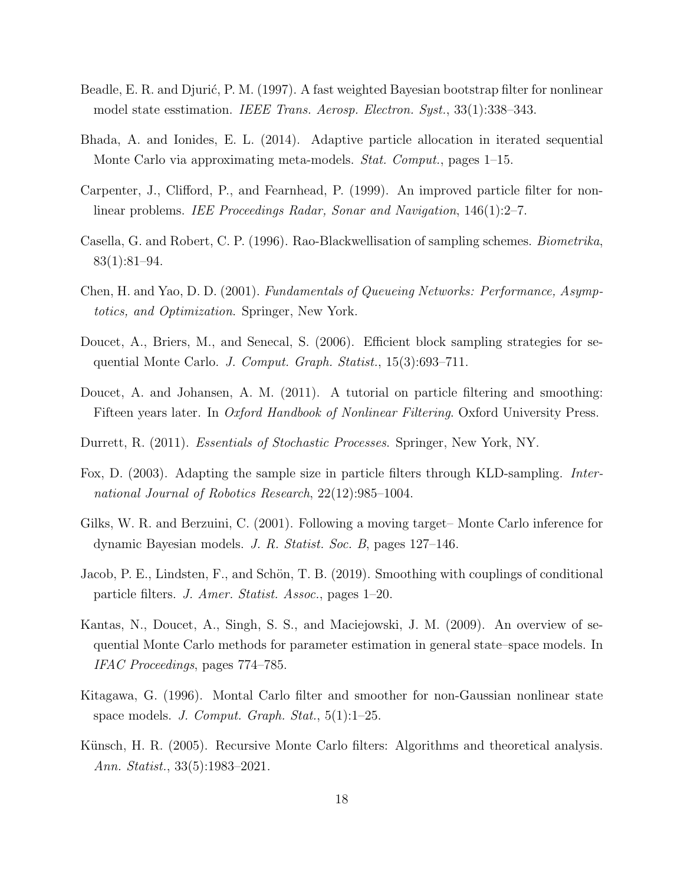- Beadle, E. R. and Djurić, P. M. (1997). A fast weighted Bayesian bootstrap filter for nonlinear model state esstimation. IEEE Trans. Aerosp. Electron. Syst., 33(1):338–343.
- Bhada, A. and Ionides, E. L. (2014). Adaptive particle allocation in iterated sequential Monte Carlo via approximating meta-models. Stat. Comput., pages 1–15.
- Carpenter, J., Clifford, P., and Fearnhead, P. (1999). An improved particle filter for nonlinear problems. *IEE Proceedings Radar, Sonar and Navigation*, 146(1):2–7.
- Casella, G. and Robert, C. P. (1996). Rao-Blackwellisation of sampling schemes. Biometrika, 83(1):81–94.
- Chen, H. and Yao, D. D. (2001). Fundamentals of Queueing Networks: Performance, Asymptotics, and Optimization. Springer, New York.
- Doucet, A., Briers, M., and Senecal, S. (2006). Efficient block sampling strategies for sequential Monte Carlo. J. Comput. Graph. Statist., 15(3):693–711.
- Doucet, A. and Johansen, A. M. (2011). A tutorial on particle filtering and smoothing: Fifteen years later. In *Oxford Handbook of Nonlinear Filtering*. Oxford University Press.
- Durrett, R. (2011). Essentials of Stochastic Processes. Springer, New York, NY.
- Fox, D. (2003). Adapting the sample size in particle filters through KLD-sampling. International Journal of Robotics Research, 22(12):985–1004.
- Gilks, W. R. and Berzuini, C. (2001). Following a moving target– Monte Carlo inference for dynamic Bayesian models. J. R. Statist. Soc. B, pages 127–146.
- Jacob, P. E., Lindsten, F., and Schön, T. B. (2019). Smoothing with couplings of conditional particle filters. J. Amer. Statist. Assoc., pages 1–20.
- Kantas, N., Doucet, A., Singh, S. S., and Maciejowski, J. M. (2009). An overview of sequential Monte Carlo methods for parameter estimation in general state–space models. In IFAC Proceedings, pages 774–785.
- Kitagawa, G. (1996). Montal Carlo filter and smoother for non-Gaussian nonlinear state space models. J. Comput. Graph. Stat.,  $5(1):1-25$ .
- Künsch, H. R. (2005). Recursive Monte Carlo filters: Algorithms and theoretical analysis. Ann. Statist., 33(5):1983–2021.